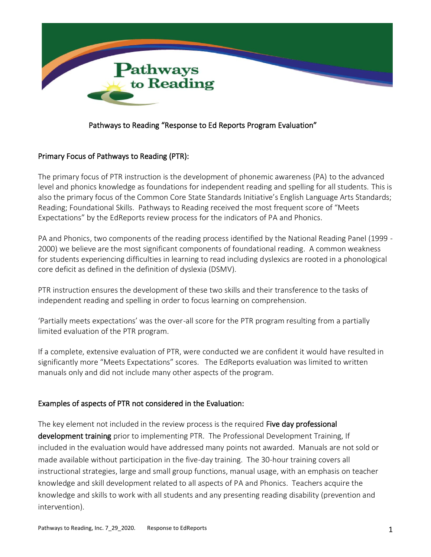

### Pathways to Reading "Response to Ed Reports Program Evaluation"

#### Primary Focus of Pathways to Reading (PTR):

The primary focus of PTR instruction is the development of phonemic awareness (PA) to the advanced level and phonics knowledge as foundations for independent reading and spelling for all students. This is also the primary focus of the Common Core State Standards Initiative's English Language Arts Standards; Reading; Foundational Skills. Pathways to Reading received the most frequent score of "Meets Expectations" by the EdReports review process for the indicators of PA and Phonics.

PA and Phonics, two components of the reading process identified by the National Reading Panel (1999 - 2000) we believe are the most significant components of foundational reading. A common weakness for students experiencing difficulties in learning to read including dyslexics are rooted in a phonological core deficit as defined in the definition of dyslexia (DSMV).

PTR instruction ensures the development of these two skills and their transference to the tasks of independent reading and spelling in order to focus learning on comprehension.

'Partially meets expectations' was the over-all score for the PTR program resulting from a partially limited evaluation of the PTR program.

If a complete, extensive evaluation of PTR, were conducted we are confident it would have resulted in significantly more "Meets Expectations" scores. The EdReports evaluation was limited to written manuals only and did not include many other aspects of the program.

#### Examples of aspects of PTR not considered in the Evaluation:

The key element not included in the review process is the required Five day professional development training prior to implementing PTR. The Professional Development Training, If included in the evaluation would have addressed many points not awarded. Manuals are not sold or made available without participation in the five-day training. The 30-hour training covers all instructional strategies, large and small group functions, manual usage, with an emphasis on teacher knowledge and skill development related to all aspects of PA and Phonics. Teachers acquire the knowledge and skills to work with all students and any presenting reading disability (prevention and intervention).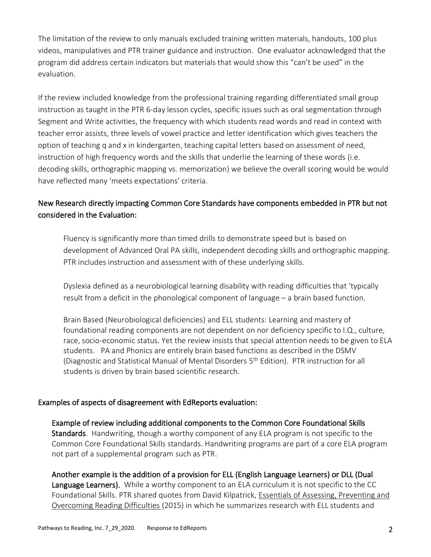The limitation of the review to only manuals excluded training written materials, handouts, 100 plus videos, manipulatives and PTR trainer guidance and instruction. One evaluator acknowledged that the program did address certain indicators but materials that would show this "can't be used" in the evaluation.

If the review included knowledge from the professional training regarding differentiated small group instruction as taught in the PTR 6-day lesson cycles, specific issues such as oral segmentation through Segment and Write activities, the frequency with which students read words and read in context with teacher error assists, three levels of vowel practice and letter identification which gives teachers the option of teaching q and x in kindergarten, teaching capital letters based on assessment of need, instruction of high frequency words and the skills that underlie the learning of these words (i.e. decoding skills, orthographic mapping vs. memorization) we believe the overall scoring would be would have reflected many 'meets expectations' criteria.

# New Research directly impacting Common Core Standards have components embedded in PTR but not considered in the Evaluation:

Fluency is significantly more than timed drills to demonstrate speed but is based on development of Advanced Oral PA skills, independent decoding skills and orthographic mapping. PTR includes instruction and assessment with of these underlying skills.

Dyslexia defined as a neurobiological learning disability with reading difficulties that 'typically result from a deficit in the phonological component of language – a brain based function.

Brain Based (Neurobiological deficiencies) and ELL students: Learning and mastery of foundational reading components are not dependent on nor deficiency specific to I.Q., culture, race, socio-economic status. Yet the review insists that special attention needs to be given to ELA students. PA and Phonics are entirely brain based functions as described in the DSMV (Diagnostic and Statistical Manual of Mental Disorders 5<sup>th</sup> Edition). PTR instruction for all students is driven by brain based scientific research.

#### Examples of aspects of disagreement with EdReports evaluation:

Example of review including additional components to the Common Core Foundational Skills Standards. Handwriting, though a worthy component of any ELA program is not specific to the Common Core Foundational Skills standards. Handwriting programs are part of a core ELA program not part of a supplemental program such as PTR.

Another example is the addition of a provision for ELL (English Language Learners) or DLL (Dual Language Learners). While a worthy component to an ELA curriculum it is not specific to the CC Foundational Skills. PTR shared quotes from David Kilpatrick, Essentials of Assessing, Preventing and Overcoming Reading Difficulties (2015) in which he summarizes research with ELL students and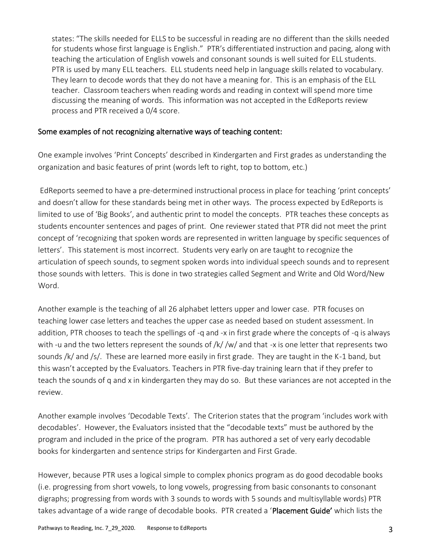states: "The skills needed for ELLS to be successful in reading are no different than the skills needed for students whose first language is English." PTR's differentiated instruction and pacing, along with teaching the articulation of English vowels and consonant sounds is well suited for ELL students. PTR is used by many ELL teachers. ELL students need help in language skills related to vocabulary. They learn to decode words that they do not have a meaning for. This is an emphasis of the ELL teacher. Classroom teachers when reading words and reading in context will spend more time discussing the meaning of words. This information was not accepted in the EdReports review process and PTR received a 0/4 score.

#### Some examples of not recognizing alternative ways of teaching content:

One example involves 'Print Concepts' described in Kindergarten and First grades as understanding the organization and basic features of print (words left to right, top to bottom, etc.)

EdReports seemed to have a pre-determined instructional process in place for teaching 'print concepts' and doesn't allow for these standards being met in other ways. The process expected by EdReports is limited to use of 'Big Books', and authentic print to model the concepts. PTR teaches these concepts as students encounter sentences and pages of print. One reviewer stated that PTR did not meet the print concept of 'recognizing that spoken words are represented in written language by specific sequences of letters'. This statement is most incorrect. Students very early on are taught to recognize the articulation of speech sounds, to segment spoken words into individual speech sounds and to represent those sounds with letters. This is done in two strategies called Segment and Write and Old Word/New Word.

Another example is the teaching of all 26 alphabet letters upper and lower case. PTR focuses on teaching lower case letters and teaches the upper case as needed based on student assessment. In addition, PTR chooses to teach the spellings of -q and -x in first grade where the concepts of -q is always with -u and the two letters represent the sounds of /k/ /w/ and that -x is one letter that represents two sounds /k/ and /s/. These are learned more easily in first grade. They are taught in the K-1 band, but this wasn't accepted by the Evaluators. Teachers in PTR five-day training learn that if they prefer to teach the sounds of q and x in kindergarten they may do so. But these variances are not accepted in the review.

Another example involves 'Decodable Texts'. The Criterion states that the program 'includes work with decodables'. However, the Evaluators insisted that the "decodable texts" must be authored by the program and included in the price of the program. PTR has authored a set of very early decodable books for kindergarten and sentence strips for Kindergarten and First Grade.

However, because PTR uses a logical simple to complex phonics program as do good decodable books (i.e. progressing from short vowels, to long vowels, progressing from basic consonants to consonant digraphs; progressing from words with 3 sounds to words with 5 sounds and multisyllable words) PTR takes advantage of a wide range of decodable books. PTR created a 'Placement Guide' which lists the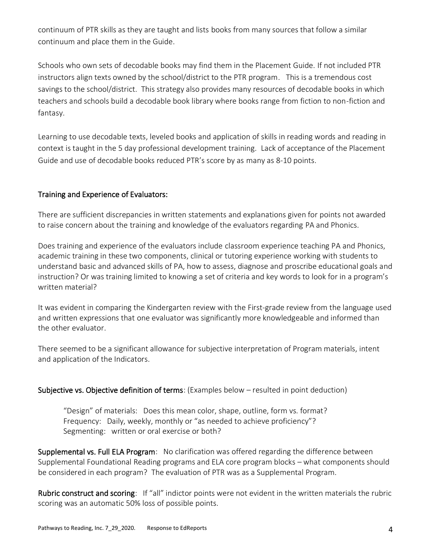continuum of PTR skills as they are taught and lists books from many sources that follow a similar continuum and place them in the Guide.

Schools who own sets of decodable books may find them in the Placement Guide. If not included PTR instructors align texts owned by the school/district to the PTR program. This is a tremendous cost savings to the school/district. This strategy also provides many resources of decodable books in which teachers and schools build a decodable book library where books range from fiction to non-fiction and fantasy.

Learning to use decodable texts, leveled books and application of skills in reading words and reading in context is taught in the 5 day professional development training. Lack of acceptance of the Placement Guide and use of decodable books reduced PTR's score by as many as 8-10 points.

## Training and Experience of Evaluators:

There are sufficient discrepancies in written statements and explanations given for points not awarded to raise concern about the training and knowledge of the evaluators regarding PA and Phonics.

Does training and experience of the evaluators include classroom experience teaching PA and Phonics, academic training in these two components, clinical or tutoring experience working with students to understand basic and advanced skills of PA, how to assess, diagnose and proscribe educational goals and instruction? Or was training limited to knowing a set of criteria and key words to look for in a program's written material?

It was evident in comparing the Kindergarten review with the First-grade review from the language used and written expressions that one evaluator was significantly more knowledgeable and informed than the other evaluator.

There seemed to be a significant allowance for subjective interpretation of Program materials, intent and application of the Indicators.

#### Subjective vs. Objective definition of terms: (Examples below – resulted in point deduction)

"Design" of materials: Does this mean color, shape, outline, form vs. format? Frequency: Daily, weekly, monthly or "as needed to achieve proficiency"? Segmenting: written or oral exercise or both?

Supplemental vs. Full ELA Program: No clarification was offered regarding the difference between Supplemental Foundational Reading programs and ELA core program blocks – what components should be considered in each program? The evaluation of PTR was as a Supplemental Program.

Rubric construct and scoring: If "all" indictor points were not evident in the written materials the rubric scoring was an automatic 50% loss of possible points.